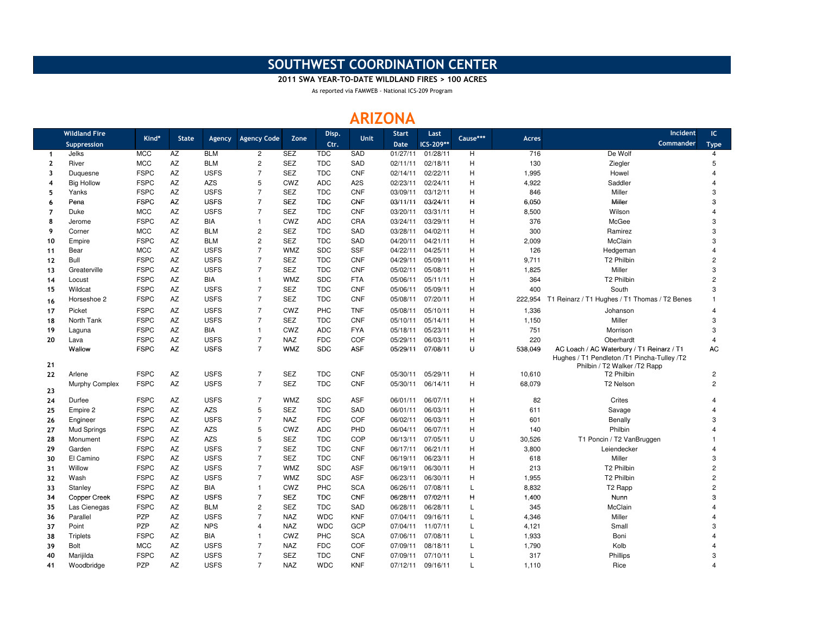## SOUTHWEST COORDINATION CENTER

2011 SWA YEAR-TO-DATE WILDLAND FIRES > 100 ACRES

As reported via FAMWEB - National ICS-209 Program

## ARIZONA

|                | <b>Wildland Fire</b> |             |              |             |                         |            | Disp.      |                  | <b>Start</b> | Last      |          |              | Incident                                                                                                                 | IC.            |
|----------------|----------------------|-------------|--------------|-------------|-------------------------|------------|------------|------------------|--------------|-----------|----------|--------------|--------------------------------------------------------------------------------------------------------------------------|----------------|
|                | Suppression          | Kind*       | <b>State</b> | Agency      | <b>Agency Code</b>      | Zone       | Ctr.       | <b>Unit</b>      | <b>Date</b>  | ICS-209** | Cause*** | <b>Acres</b> | Commander                                                                                                                | <b>Type</b>    |
| $\mathbf{1}$   | Jelks                | <b>MCC</b>  | AZ           | <b>BLM</b>  | $\overline{2}$          | <b>SEZ</b> | <b>TDC</b> | SAD              | 01/27/11     | 01/28/11  | H        | 716          | De Wolf                                                                                                                  | $\overline{4}$ |
| $\mathbf{2}$   | River                | <b>MCC</b>  | AZ           | <b>BLM</b>  | $\overline{\mathbf{c}}$ | <b>SEZ</b> | <b>TDC</b> | SAD              | 02/11/11     | 02/18/11  | H        | 130          | Ziegler                                                                                                                  | 5              |
| 3              | Duquesne             | <b>FSPC</b> | AZ           | <b>USFS</b> | $\overline{7}$          | <b>SEZ</b> | <b>TDC</b> | <b>CNF</b>       | 02/14/11     | 02/22/11  | H        | 1,995        | Howel                                                                                                                    | $\overline{4}$ |
| 4              | <b>Big Hollow</b>    | <b>FSPC</b> | AZ           | <b>AZS</b>  | 5                       | CWZ        | <b>ADC</b> | A <sub>2</sub> S | 02/23/11     | 02/24/11  | H        | 4,922        | Saddler                                                                                                                  | $\overline{4}$ |
| 5              | Yanks                | <b>FSPC</b> | AZ           | <b>USFS</b> | $\overline{7}$          | <b>SEZ</b> | <b>TDC</b> | <b>CNF</b>       | 03/09/11     | 03/12/11  | H        | 846          | Miller                                                                                                                   | 3              |
| 6              | Pena                 | <b>FSPC</b> | AZ           | <b>USFS</b> | $\overline{7}$          | <b>SEZ</b> | <b>TDC</b> | CNF              | 03/11/11     | 03/24/11  | Н        | 6,050        | Miller                                                                                                                   | 3              |
| $\overline{7}$ | Duke                 | <b>MCC</b>  | AZ           | <b>USFS</b> | $\overline{7}$          | <b>SEZ</b> | <b>TDC</b> | <b>CNF</b>       | 03/20/11     | 03/31/11  | H        | 8,500        | Wilson                                                                                                                   | $\overline{4}$ |
| 8              | Jerome               | <b>FSPC</b> | AZ           | BIA         | $\overline{1}$          | CWZ        | <b>ADC</b> | CRA              | 03/24/11     | 03/29/11  | H        | 376          | McGee                                                                                                                    | 3              |
| 9              | Corner               | <b>MCC</b>  | AZ           | <b>BLM</b>  | $\overline{c}$          | <b>SEZ</b> | <b>TDC</b> | SAD              | 03/28/11     | 04/02/11  | H        | 300          | Ramirez                                                                                                                  | 3              |
| 10             | Empire               | <b>FSPC</b> | AZ           | <b>BLM</b>  | $\overline{c}$          | <b>SEZ</b> | <b>TDC</b> | SAD              | 04/20/11     | 04/21/11  | H        | 2,009        | McClain                                                                                                                  | 3              |
| 11             | Bear                 | <b>MCC</b>  | AZ           | <b>USFS</b> | $\overline{7}$          | <b>WMZ</b> | <b>SDC</b> | <b>SSF</b>       | 04/22/11     | 04/25/11  | H        | 126          | Hedgeman                                                                                                                 | 4              |
| 12             | Bull                 | <b>FSPC</b> | AZ           | <b>USFS</b> | $\overline{7}$          | <b>SEZ</b> | <b>TDC</b> | <b>CNF</b>       | 04/29/11     | 05/09/11  | H        | 9,711        | T <sub>2</sub> Philbin                                                                                                   | $\overline{2}$ |
| 13             | Greaterville         | <b>FSPC</b> | <b>AZ</b>    | <b>USFS</b> | $\overline{7}$          | <b>SEZ</b> | <b>TDC</b> | <b>CNF</b>       | 05/02/11     | 05/08/11  | H        | 1,825        | Miller                                                                                                                   | 3              |
| 14             | Locust               | <b>FSPC</b> | AZ           | <b>BIA</b>  | $\overline{1}$          | <b>WMZ</b> | <b>SDC</b> | <b>FTA</b>       | 05/06/11     | 05/11/11  | H        | 364          | T2 Philbin                                                                                                               | $\overline{2}$ |
| 15             | Wildcat              | <b>FSPC</b> | AZ           | <b>USFS</b> | $\overline{7}$          | <b>SEZ</b> | <b>TDC</b> | <b>CNF</b>       | 05/06/11     | 05/09/11  | H        | 400          | South                                                                                                                    | 3              |
| 16             | Horseshoe 2          | <b>FSPC</b> | AZ           | <b>USFS</b> | $\overline{7}$          | <b>SEZ</b> | <b>TDC</b> | <b>CNF</b>       | 05/08/11     | 07/20/11  | H        | 222,954      | T1 Reinarz / T1 Hughes / T1 Thomas / T2 Benes                                                                            | -1             |
| 17             | Picket               | <b>FSPC</b> | AZ           | <b>USFS</b> | $\overline{7}$          | <b>CWZ</b> | PHC        | <b>TNF</b>       | 05/08/11     | 05/10/11  | H        | 1,336        | Johanson                                                                                                                 |                |
| 18             | North Tank           | <b>FSPC</b> | <b>AZ</b>    | <b>USFS</b> | $\overline{7}$          | <b>SEZ</b> | <b>TDC</b> | <b>CNF</b>       | 05/10/11     | 05/14/11  | H        | 1,150        | Miller                                                                                                                   | 3              |
| 19             | Laguna               | <b>FSPC</b> | AZ           | BIA         | $\overline{1}$          | CWZ        | <b>ADC</b> | <b>FYA</b>       | 05/18/11     | 05/23/11  | H        | 751          | Morrison                                                                                                                 | 3              |
| 20             | Lava                 | <b>FSPC</b> | AZ           | <b>USFS</b> | $\overline{7}$          | <b>NAZ</b> | <b>FDC</b> | COF              | 05/29/11     | 06/03/11  | H        | 220          | Oberhardt                                                                                                                | $\overline{4}$ |
| 21             | Wallow               | <b>FSPC</b> | AZ           | <b>USFS</b> | $\overline{7}$          | <b>WMZ</b> | <b>SDC</b> | <b>ASF</b>       | 05/29/11     | 07/08/11  | U        | 538,049      | AC Loach / AC Waterbury / T1 Reinarz / T1<br>Hughes / T1 Pendleton /T1 Pincha-Tulley /T2<br>Philbin / T2 Walker /T2 Rapp | <b>AC</b>      |
| 22             | Arlene               | <b>FSPC</b> | AZ           | <b>USFS</b> | $\overline{7}$          | <b>SEZ</b> | <b>TDC</b> | <b>CNF</b>       | 05/30/11     | 05/29/11  | н        | 10,610       | T2 Philbin                                                                                                               | $\mathbf{2}$   |
|                | Murphy Complex       | <b>FSPC</b> | AZ           | <b>USFS</b> | $\overline{7}$          | <b>SEZ</b> | <b>TDC</b> | <b>CNF</b>       | 05/30/11     | 06/14/11  | H        | 68,079       | T2 Nelson                                                                                                                | $\overline{c}$ |
| 23             |                      |             |              |             |                         |            |            |                  |              |           |          |              |                                                                                                                          |                |
| 24             | Durfee               | <b>FSPC</b> | AZ           | <b>USFS</b> | $\overline{7}$          | <b>WMZ</b> | <b>SDC</b> | <b>ASF</b>       | 06/01/11     | 06/07/11  | H        | 82           | Crites                                                                                                                   |                |
| 25             | Empire 2             | <b>FSPC</b> | AZ           | <b>AZS</b>  | 5                       | <b>SEZ</b> | <b>TDC</b> | SAD              | 06/01/11     | 06/03/11  | H        | 611          | Savage                                                                                                                   |                |
| 26             | Engineer             | <b>FSPC</b> | AZ           | <b>USFS</b> | $\overline{7}$          | <b>NAZ</b> | <b>FDC</b> | COF              | 06/02/11     | 06/03/11  | H        | 601          | Benally                                                                                                                  | 3              |
| 27             | <b>Mud Springs</b>   | <b>FSPC</b> | AZ           | <b>AZS</b>  | 5                       | CWZ        | <b>ADC</b> | PHD              | 06/04/11     | 06/07/11  | H        | 140          | Philbin                                                                                                                  |                |
| 28             | Monument             | <b>FSPC</b> | AZ           | <b>AZS</b>  | 5                       | <b>SEZ</b> | <b>TDC</b> | COP              | 06/13/11     | 07/05/11  | U        | 30,526       | T1 Poncin / T2 VanBruggen                                                                                                |                |
| 29             | Garden               | <b>FSPC</b> | AZ           | <b>USFS</b> | $\overline{7}$          | <b>SEZ</b> | <b>TDC</b> | <b>CNF</b>       | 06/17/11     | 06/21/11  | H        | 3,800        | Leiendecker                                                                                                              | 4              |
| 30             | El Camino            | <b>FSPC</b> | AZ           | <b>USFS</b> | $\overline{7}$          | <b>SEZ</b> | <b>TDC</b> | <b>CNF</b>       | 06/19/11     | 06/23/11  | H        | 618          | Miller                                                                                                                   | 3              |
| 31             | Willow               | <b>FSPC</b> | AZ           | <b>USFS</b> | $\overline{7}$          | <b>WMZ</b> | <b>SDC</b> | <b>ASF</b>       | 06/19/11     | 06/30/11  | H        | 213          | T <sub>2</sub> Philbin                                                                                                   | $\overline{2}$ |
| 32             | Wash                 | <b>FSPC</b> | <b>AZ</b>    | <b>USFS</b> | $\overline{7}$          | <b>WMZ</b> | <b>SDC</b> | <b>ASF</b>       | 06/23/11     | 06/30/11  | H        | 1,955        | T <sub>2</sub> Philbin                                                                                                   | $\overline{2}$ |
| 33             | Stanley              | <b>FSPC</b> | AZ           | <b>BIA</b>  | $\overline{1}$          | CWZ        | PHC        | <b>SCA</b>       | 06/26/11     | 07/08/11  | L        | 8,832        | T <sub>2</sub> Rapp                                                                                                      | $\overline{2}$ |
| 34             | Copper Creek         | <b>FSPC</b> | AZ           | <b>USFS</b> | $\overline{7}$          | <b>SEZ</b> | <b>TDC</b> | <b>CNF</b>       | 06/28/11     | 07/02/11  | н        | 1,400        | Nunn                                                                                                                     | 3              |
| 35             | Las Cienegas         | <b>FSPC</b> | AZ           | <b>BLM</b>  | $\overline{c}$          | <b>SEZ</b> | <b>TDC</b> | SAD              | 06/28/11     | 06/28/11  | L        | 345          | McClain                                                                                                                  |                |
| 36             | Parallel             | <b>PZP</b>  | <b>AZ</b>    | <b>USFS</b> | $\overline{7}$          | <b>NAZ</b> | <b>WDC</b> | <b>KNF</b>       | 07/04/11     | 09/16/11  | L        | 4,346        | Miller                                                                                                                   |                |
| 37             | Point                | <b>PZP</b>  | AZ           | <b>NPS</b>  | $\overline{4}$          | <b>NAZ</b> | <b>WDC</b> | GCP              | 07/04/11     | 11/07/11  | L        | 4,121        | Small                                                                                                                    | 3              |
| 38             | <b>Triplets</b>      | <b>FSPC</b> | AZ           | <b>BIA</b>  | $\mathbf{1}$            | CWZ        | PHC        | <b>SCA</b>       | 07/06/11     | 07/08/11  | L        | 1,933        | Boni                                                                                                                     |                |
| 39             | Bolt                 | <b>MCC</b>  | AZ           | <b>USFS</b> | $\overline{7}$          | <b>NAZ</b> | <b>FDC</b> | COF              | 07/09/11     | 08/18/11  |          | 1,790        | Kolb                                                                                                                     |                |
| 40             | Marijilda            | <b>FSPC</b> | AZ           | <b>USFS</b> | $\overline{7}$          | <b>SEZ</b> | <b>TDC</b> | <b>CNF</b>       | 07/09/11     | 07/10/11  |          | 317          | Phillips                                                                                                                 | 3              |
| 41             | Woodbridge           | PZP         | AZ           | <b>USFS</b> | $\overline{7}$          | <b>NAZ</b> | <b>WDC</b> | <b>KNF</b>       | 07/12/11     | 09/16/11  |          | 1,110        | Rice                                                                                                                     | $\overline{4}$ |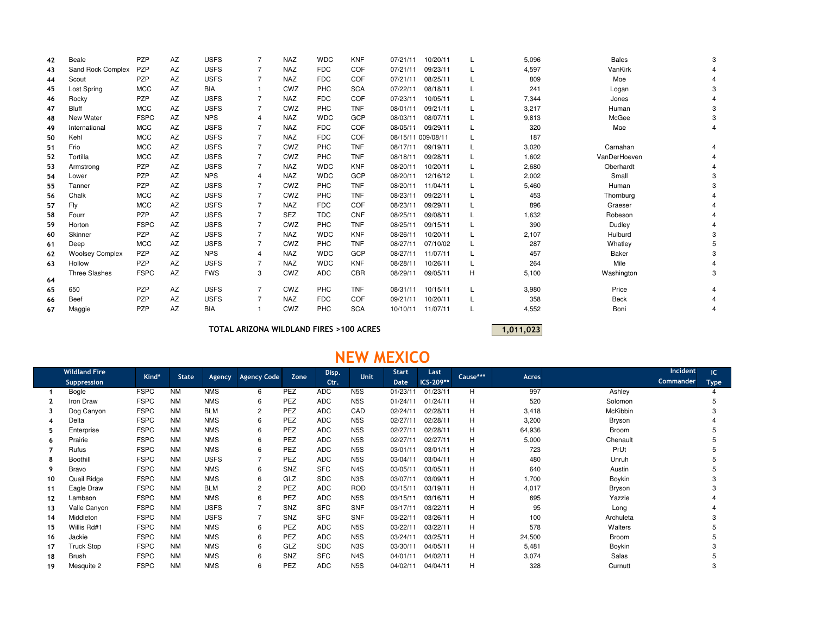| 42 | Beale                  | PZP         | AZ | <b>USFS</b> |                | <b>NAZ</b> | <b>WDC</b> | <b>KNF</b> | 10/20/11<br>07/21/11 |          |   | 5,096 | <b>Bales</b> |  |
|----|------------------------|-------------|----|-------------|----------------|------------|------------|------------|----------------------|----------|---|-------|--------------|--|
| 43 | Sand Rock Complex      | <b>PZP</b>  | AZ | <b>USFS</b> |                | <b>NAZ</b> | <b>FDC</b> | <b>COF</b> | 09/23/11<br>07/21/11 |          |   | 4,597 | VanKirk      |  |
| 44 | Scout                  | PZP         | AZ | <b>USFS</b> | $\overline{7}$ | <b>NAZ</b> | <b>FDC</b> | COF        | 07/21/11<br>08/25/11 |          |   | 809   | Moe          |  |
| 45 | Lost Spring            | <b>MCC</b>  | AZ | <b>BIA</b>  |                | CWZ        | <b>PHC</b> | <b>SCA</b> | 07/22/11<br>08/18/11 |          |   | 241   | Logan        |  |
| 46 | Rocky                  | <b>PZP</b>  | AZ | <b>USFS</b> |                | <b>NAZ</b> | <b>FDC</b> | COF        | 07/23/11<br>10/05/11 |          |   | 7,344 | Jones        |  |
| 47 | <b>Bluff</b>           | <b>MCC</b>  | AZ | <b>USFS</b> |                | CWZ        | PHC        | <b>TNF</b> | 09/21/11<br>08/01/11 |          |   | 3,217 | Human        |  |
| 48 | New Water              | <b>FSPC</b> | AZ | <b>NPS</b>  | 4              | <b>NAZ</b> | <b>WDC</b> | GCP        | 08/03/11<br>08/07/11 |          |   | 9,813 | McGee        |  |
| 49 | International          | <b>MCC</b>  | AZ | <b>USFS</b> |                | <b>NAZ</b> | <b>FDC</b> | <b>COF</b> | 08/05/11<br>09/29/11 |          |   | 320   | Moe          |  |
| 50 | Kehl                   | <b>MCC</b>  | AZ | <b>USFS</b> |                | <b>NAZ</b> | <b>FDC</b> | COF        | 08/15/11 009/08/11   |          |   | 187   |              |  |
| 51 | Frio                   | <b>MCC</b>  | AZ | <b>USFS</b> |                | CWZ        | PHC        | <b>TNF</b> | 08/17/11<br>09/19/11 |          |   | 3,020 | Carnahan     |  |
| 52 | Tortilla               | <b>MCC</b>  | AZ | <b>USFS</b> |                | CWZ        | <b>PHC</b> | <b>TNF</b> | 08/18/11<br>09/28/11 |          |   | 1,602 | VanDerHoeven |  |
| 53 | Armstrong              | PZP         | AZ | <b>USFS</b> |                | <b>NAZ</b> | <b>WDC</b> | <b>KNF</b> | 08/20/11<br>10/20/11 |          |   | 2,680 | Oberhardt    |  |
| 54 | Lower                  | PZP         | AZ | <b>NPS</b>  | 4              | <b>NAZ</b> | <b>WDC</b> | GCP        | 08/20/11             | 12/16/12 |   | 2,002 | Small        |  |
| 55 | Tanner                 | PZP         | AZ | <b>USFS</b> |                | CWZ        | <b>PHC</b> | <b>TNF</b> | 08/20/11<br>11/04/11 |          |   | 5,460 | Human        |  |
| 56 | Chalk                  | <b>MCC</b>  | AZ | <b>USFS</b> |                | CWZ        | <b>PHC</b> | <b>TNF</b> | 09/22/11<br>08/23/11 |          |   | 453   | Thornburg    |  |
| 57 | Fly                    | <b>MCC</b>  | AZ | <b>USFS</b> |                | <b>NAZ</b> | <b>FDC</b> | <b>COF</b> | 08/23/11<br>09/29/11 |          |   | 896   | Graeser      |  |
| 58 | Fourr                  | PZP         | AZ | <b>USFS</b> |                | <b>SEZ</b> | <b>TDC</b> | <b>CNF</b> | 08/25/11<br>09/08/11 |          |   | 1,632 | Robeson      |  |
| 59 | Horton                 | <b>FSPC</b> | AZ | <b>USFS</b> |                | CWZ        | <b>PHC</b> | <b>TNF</b> | 08/25/11<br>09/15/11 |          |   | 390   | Dudley       |  |
| 60 | Skinner                | PZP         | AZ | <b>USFS</b> |                | <b>NAZ</b> | <b>WDC</b> | <b>KNF</b> | 10/20/11<br>08/26/11 |          |   | 2,107 | Hulburd      |  |
| 61 | Deep                   | <b>MCC</b>  | AZ | <b>USFS</b> |                | CWZ        | <b>PHC</b> | <b>TNF</b> | 08/27/11<br>07/10/02 |          |   | 287   | Whatley      |  |
| 62 | <b>Woolsey Complex</b> | <b>PZP</b>  | AZ | <b>NPS</b>  | 4              | <b>NAZ</b> | <b>WDC</b> | GCP        | 08/27/11<br>11/07/11 |          |   | 457   | Baker        |  |
| 63 | Hollow                 | PZP         | AZ | <b>USFS</b> | 7              | <b>NAZ</b> | <b>WDC</b> | <b>KNF</b> | 08/28/11<br>10/26/11 |          |   | 264   | Mile         |  |
| 64 | <b>Three Slashes</b>   | <b>FSPC</b> | AZ | <b>FWS</b>  | 3              | CWZ        | <b>ADC</b> | CBR        | 09/05/11<br>08/29/11 |          | Н | 5,100 | Washington   |  |
| 65 | 650                    | PZP         | AZ | <b>USFS</b> | $\overline{7}$ | CWZ        | PHC        | <b>TNF</b> | 08/31/11<br>10/15/11 |          | L | 3,980 | Price        |  |
| 66 | <b>Beef</b>            | PZP         | AZ | <b>USFS</b> |                | <b>NAZ</b> | <b>FDC</b> | <b>COF</b> | 10/20/11<br>09/21/11 |          |   | 358   | <b>Beck</b>  |  |
| 67 | Maggie                 | <b>PZP</b>  | AZ | <b>BIA</b>  |                | CWZ        | <b>PHC</b> | <b>SCA</b> | 11/07/11<br>10/10/11 |          |   | 4,552 | Boni         |  |

TOTAL ARIZONA WILDLAND FIRES >100 ACRES

1,011,023

## NEW MEXICO

|    | <b>Wildland Fire</b> | Kind*       | <b>State</b> |             | <b>Agency Code</b> | Zone       | Disp.      | Unit             | <b>Start</b> | Last      | Cause*** | Acres  | <b>Incident</b> | IC          |
|----|----------------------|-------------|--------------|-------------|--------------------|------------|------------|------------------|--------------|-----------|----------|--------|-----------------|-------------|
|    | Suppression          |             |              | Agency      |                    |            | Ctr.       |                  | <b>Date</b>  | ICS-209** |          |        | Commander       | <b>Type</b> |
|    | Bogle                | <b>FSPC</b> | <b>NM</b>    | <b>NMS</b>  | 6                  | PEZ        | <b>ADC</b> | N <sub>5</sub> S | 01/23/11     | 01/23/11  | H        | 997    | Ashley          |             |
|    | Iron Draw            | <b>FSPC</b> | <b>NM</b>    | <b>NMS</b>  | 6                  | PEZ        | <b>ADC</b> | N <sub>5</sub> S | 01/24/11     | 01/24/11  | н        | 520    | Solomon         |             |
|    | Dog Canyon           | <b>FSPC</b> | <b>NM</b>    | <b>BLM</b>  |                    | <b>PEZ</b> | <b>ADC</b> | CAD              | 02/24/11     | 02/28/11  | н        | 3,418  | McKibbin        |             |
|    | Delta                | <b>FSPC</b> | <b>NM</b>    | <b>NMS</b>  | 6                  | PEZ        | <b>ADC</b> | N <sub>5</sub> S | 02/27/11     | 02/28/11  | н        | 3,200  | Bryson          |             |
|    | Enterprise           | <b>FSPC</b> | <b>NM</b>    | <b>NMS</b>  | 6                  | <b>PEZ</b> | <b>ADC</b> | N <sub>5</sub> S | 02/27/11     | 02/28/11  | н        | 64,936 | Broom           |             |
| 6  | Prairie              | <b>FSPC</b> | <b>NM</b>    | <b>NMS</b>  | 6                  | PEZ        | <b>ADC</b> | N <sub>5</sub> S | 02/27/11     | 02/27/11  | н        | 5,000  | Chenault        |             |
|    | Rufus                | <b>FSPC</b> | <b>NM</b>    | <b>NMS</b>  | 6                  | <b>PEZ</b> | <b>ADC</b> | N <sub>5</sub> S | 03/01/11     | 03/01/11  | Н        | 723    | PrUt            |             |
| 8  | <b>Boothill</b>      | <b>FSPC</b> | <b>NM</b>    | <b>USFS</b> |                    | PEZ        | <b>ADC</b> | N <sub>5</sub> S | 03/04/11     | 03/04/11  | H        | 480    | Unruh           |             |
| 9  | <b>Bravo</b>         | <b>FSPC</b> | <b>NM</b>    | <b>NMS</b>  | 6                  | SNZ        | <b>SFC</b> | N <sub>4</sub> S | 03/05/11     | 03/05/11  | H        | 640    | Austin          |             |
| 10 | Quail Ridge          | <b>FSPC</b> | <b>NM</b>    | <b>NMS</b>  | 6                  | GLZ        | <b>SDC</b> | N <sub>3</sub> S | 03/07/11     | 03/09/11  | н        | 1,700  | Boykin          |             |
| 11 | Eagle Draw           | <b>FSPC</b> | <b>NM</b>    | <b>BLM</b>  |                    | PEZ        | <b>ADC</b> | <b>ROD</b>       | 03/15/11     | 03/19/11  | н        | 4,017  | Bryson          |             |
| 12 | Lambson              | <b>FSPC</b> | <b>NM</b>    | <b>NMS</b>  | 6                  | PEZ        | <b>ADC</b> | N <sub>5</sub> S | 03/15/11     | 03/16/11  | н        | 695    | Yazzie          |             |
| 13 | Valle Canyon         | <b>FSPC</b> | <b>NM</b>    | <b>USFS</b> |                    | SNZ        | <b>SFC</b> | <b>SNF</b>       | 03/17/11     | 03/22/11  | H        | 95     | Long            |             |
| 14 | Middleton            | <b>FSPC</b> | <b>NM</b>    | <b>USFS</b> |                    | SNZ        | <b>SFC</b> | <b>SNF</b>       | 03/22/11     | 03/26/11  | н        | 100    | Archuleta       |             |
| 15 | Willis Rd#1          | <b>FSPC</b> | <b>NM</b>    | <b>NMS</b>  | 6                  | PEZ        | <b>ADC</b> | N <sub>5</sub> S | 03/22/11     | 03/22/11  | н        | 578    | Walters         |             |
| 16 | Jackie               | <b>FSPC</b> | <b>NM</b>    | <b>NMS</b>  | ĥ                  | <b>PEZ</b> | <b>ADC</b> | N <sub>5</sub> S | 03/24/11     | 03/25/11  | н        | 24,500 | Broom           |             |
| 17 | <b>Truck Stop</b>    | <b>FSPC</b> | <b>NM</b>    | <b>NMS</b>  | 6                  | GLZ        | <b>SDC</b> | N <sub>3</sub> S | 03/30/11     | 04/05/11  | H        | 5,481  | Boykin          |             |
| 18 | <b>Brush</b>         | <b>FSPC</b> | <b>NM</b>    | <b>NMS</b>  | 6                  | SNZ        | <b>SFC</b> | N <sub>4</sub> S | 04/01/11     | 04/02/11  | н        | 3,074  | Salas           |             |
| 19 | Mesquite 2           | <b>FSPC</b> | <b>NM</b>    | <b>NMS</b>  | 6                  | <b>PEZ</b> | <b>ADC</b> | N <sub>5</sub> S | 04/02/11     | 04/04/11  | H        | 328    | Curnutt         |             |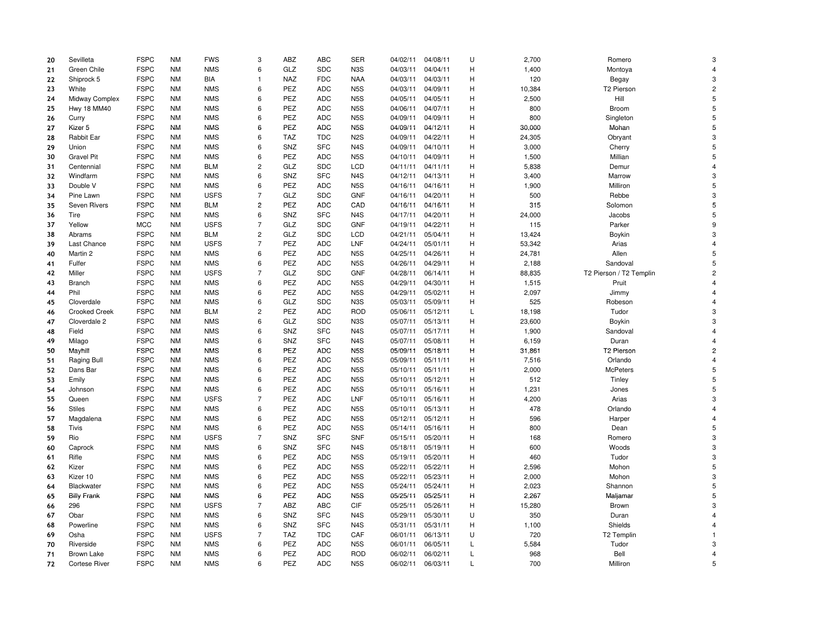| 20 | Sevilleta            | <b>FSPC</b> | <b>NM</b> | <b>FWS</b>                | 3                   | ABZ        | <b>ABC</b>               | <b>SER</b>              | 04/02/11             | 04/08/11             | U | 2,700      | Romero                  | 3              |
|----|----------------------|-------------|-----------|---------------------------|---------------------|------------|--------------------------|-------------------------|----------------------|----------------------|---|------------|-------------------------|----------------|
| 21 | Green Chile          | <b>FSPC</b> | <b>NM</b> | <b>NMS</b>                | 6                   | GLZ        | <b>SDC</b>               | N <sub>3</sub> S        | 04/03/11             | 04/04/11             | H | 1,400      | Montoya                 | $\overline{4}$ |
| 22 | Shiprock 5           | <b>FSPC</b> | <b>NM</b> | <b>BIA</b>                | $\mathbf{1}$        | <b>NAZ</b> | <b>FDC</b>               | <b>NAA</b>              | 04/03/11             | 04/03/11             | H | 120        | Begay                   | 3              |
| 23 | White                | <b>FSPC</b> | <b>NM</b> | <b>NMS</b>                | 6                   | PEZ        | <b>ADC</b>               | N <sub>5</sub> S        | 04/03/11             | 04/09/11             | Н | 10,384     | T2 Pierson              | $\overline{c}$ |
| 24 | Midway Complex       | <b>FSPC</b> | <b>NM</b> | <b>NMS</b>                | 6                   | PEZ        | <b>ADC</b>               | N <sub>5</sub> S        | 04/05/11             | 04/05/11             | н | 2,500      | Hill                    | 5              |
| 25 | Hwy 18 MM40          | <b>FSPC</b> | <b>NM</b> | <b>NMS</b>                | 6                   | PEZ        | <b>ADC</b>               | N <sub>5</sub> S        | 04/06/11             | 04/07/11             | Н | 800        | Broom                   | 5              |
| 26 | Curry                | <b>FSPC</b> | <b>NM</b> | <b>NMS</b>                | 6                   | PEZ        | <b>ADC</b>               | N <sub>5</sub> S        | 04/09/11             | 04/09/11             | H | 800        | Singleton               | 5              |
| 27 | Kizer 5              | <b>FSPC</b> | <b>NM</b> | <b>NMS</b>                | $\bf 6$             | PEZ        | <b>ADC</b>               | N <sub>5</sub> S        | 04/09/11             | 04/12/11             | н | 30,000     | Mohan                   | 5              |
| 28 | Rabbit Ear           | <b>FSPC</b> | <b>NM</b> | <b>NMS</b>                | 6                   | TAZ        | <b>TDC</b>               | N <sub>2</sub> S        | 04/09/11             | 04/22/11             | н | 24,305     | Obryant                 | 3              |
| 29 | Union                | <b>FSPC</b> | <b>NM</b> | <b>NMS</b>                | 6                   | SNZ        | <b>SFC</b>               | N <sub>4</sub> S        | 04/09/11             | 04/10/11             | H | 3,000      | Cherry                  | 5              |
| 30 | <b>Gravel Pit</b>    | <b>FSPC</b> | <b>NM</b> | <b>NMS</b>                | 6                   | PEZ        | <b>ADC</b>               | N <sub>5</sub> S        | 04/10/11             | 04/09/11             | н | 1,500      | Millian                 | 5              |
| 31 | Centennial           | <b>FSPC</b> | <b>NM</b> | <b>BLM</b>                | $\overline{c}$      | GLZ        | <b>SDC</b>               | <b>LCD</b>              | 04/11/11             | 04/11/11             | H | 5,838      | Demur                   | $\overline{4}$ |
| 32 | Windfarm             | <b>FSPC</b> | <b>NM</b> | <b>NMS</b>                | 6                   | SNZ        | <b>SFC</b>               | N <sub>4</sub> S        | 04/12/11             | 04/13/11             | н | 3,400      | Marrow                  | 3              |
| 33 | Double V             | <b>FSPC</b> | <b>NM</b> | <b>NMS</b>                | 6                   | PEZ        | <b>ADC</b>               | N <sub>5</sub> S        | 04/16/11             | 04/16/11             | н | 1,900      | Milliron                | 5              |
| 34 | Pine Lawn            | <b>FSPC</b> | ΝM        | <b>USFS</b>               | $\overline{7}$      | GLZ        | <b>SDC</b>               | <b>GNF</b>              | 04/16/11             | 04/20/11             | H | 500        | Rebbe                   | 3              |
| 35 | Seven Rivers         | <b>FSPC</b> | <b>NM</b> | <b>BLM</b>                | $\overline{c}$      | PEZ        | <b>ADC</b>               | CAD                     | 04/16/11             | 04/16/11             | Н | 315        | Solomon                 | 5              |
| 36 | Tire                 | <b>FSPC</b> | <b>NM</b> | <b>NMS</b>                | 6                   | SNZ        | <b>SFC</b>               | N <sub>4</sub> S        | 04/17/11             | 04/20/11             | н | 24,000     | Jacobs                  | 5              |
| 37 | Yellow               | <b>MCC</b>  | <b>NM</b> | <b>USFS</b>               | $\overline{7}$      | GLZ        | <b>SDC</b>               | <b>GNF</b>              | 04/19/11             | 04/22/11             | н | 115        | Parker                  | 9              |
| 38 | Abrams               | <b>FSPC</b> | <b>NM</b> | <b>BLM</b>                | $\overline{c}$      | GLZ        | <b>SDC</b>               | <b>LCD</b>              | 04/21/11             | 05/04/11             | H | 13,424     | Boykin                  | 3              |
| 39 | Last Chance          | <b>FSPC</b> | <b>NM</b> | <b>USFS</b>               | $\overline{7}$      | PEZ        | <b>ADC</b>               | LNF                     | 04/24/11             | 05/01/11             | H | 53,342     | Arias                   | $\overline{4}$ |
| 40 | Martin 2             | <b>FSPC</b> | <b>NM</b> | <b>NMS</b>                | 6                   | PEZ        | <b>ADC</b>               | N <sub>5</sub> S        | 04/25/11             | 04/26/11             | Н | 24,781     | Allen                   | 5              |
| 41 | Fulfer               | <b>FSPC</b> | <b>NM</b> | <b>NMS</b>                | 6                   | PEZ        | <b>ADC</b>               | N <sub>5</sub> S        | 04/26/11             | 04/29/11             | н | 2,188      | Sandoval                | 5              |
| 42 | Miller               | <b>FSPC</b> | <b>NM</b> | <b>USFS</b>               | $\overline{7}$      | GLZ        | <b>SDC</b>               | <b>GNF</b>              | 04/28/11             | 06/14/11             | Н | 88,835     | T2 Pierson / T2 Templin | $\overline{c}$ |
| 43 | <b>Branch</b>        | <b>FSPC</b> | <b>NM</b> | <b>NMS</b>                | 6                   | PEZ        | <b>ADC</b>               | N <sub>5</sub> S        | 04/29/11             | 04/30/11             | H | 1,515      | Pruit                   | $\overline{4}$ |
| 44 | Phil                 | <b>FSPC</b> | <b>NM</b> | <b>NMS</b>                | 6                   | PEZ        | <b>ADC</b>               | N <sub>5</sub> S        | 04/29/11             | 05/02/11             | н | 2,097      | Jimmy                   | $\overline{4}$ |
| 45 | Cloverdale           | <b>FSPC</b> | <b>NM</b> | <b>NMS</b>                | 6                   | GLZ        | <b>SDC</b>               | N <sub>3</sub> S        | 05/03/11             | 05/09/11             | Н | 525        | Robeson                 | $\overline{4}$ |
| 46 | <b>Crooked Creek</b> | <b>FSPC</b> | <b>NM</b> | <b>BLM</b>                | $\overline{2}$      | PEZ        | <b>ADC</b>               | <b>ROD</b>              | 05/06/11             | 05/12/11             | L | 18,198     | Tudor                   | 3              |
| 47 | Cloverdale 2         | <b>FSPC</b> | <b>NM</b> | <b>NMS</b>                | 6                   | GLZ        | <b>SDC</b>               | N <sub>3</sub> S        | 05/07/11             | 05/13/11             | н | 23,600     | Boykin                  | 3              |
| 48 | Field                | <b>FSPC</b> | <b>NM</b> | <b>NMS</b>                | 6                   | SNZ        | <b>SFC</b>               | N <sub>4</sub> S        | 05/07/11             | 05/17/11             | H | 1,900      | Sandoval                | $\overline{4}$ |
| 49 | Milago               | <b>FSPC</b> | <b>NM</b> | <b>NMS</b>                | 6                   | SNZ        | <b>SFC</b>               | N <sub>4</sub> S        | 05/07/11             | 05/08/11             | н | 6,159      | Duran                   | $\overline{4}$ |
| 50 | Mayhill              | <b>FSPC</b> | <b>NM</b> | <b>NMS</b>                | 6                   | PEZ        | <b>ADC</b>               | N <sub>5</sub> S        | 05/09/11             | 05/18/11             | н | 31,861     | T2 Pierson              | $\overline{c}$ |
| 51 | Raging Bull          | <b>FSPC</b> | <b>NM</b> | <b>NMS</b>                | 6                   | PEZ        | <b>ADC</b>               | N <sub>5</sub> S        | 05/09/11             | 05/11/11             | н | 7,516      | Orlando                 | $\overline{4}$ |
| 52 | Dans Bar             | <b>FSPC</b> | <b>NM</b> | <b>NMS</b>                | 6                   | PEZ        | <b>ADC</b>               | N <sub>5</sub> S        | 05/10/11             | 05/11/11             | н | 2,000      | <b>McPeters</b>         | 5              |
|    | Emily                | <b>FSPC</b> | <b>NM</b> | <b>NMS</b>                | 6                   | PEZ        | <b>ADC</b>               | N <sub>5</sub> S        | 05/10/11             | 05/12/11             | н | 512        | Tinley                  | 5              |
| 53 |                      | <b>FSPC</b> | <b>NM</b> | <b>NMS</b>                | 6                   | PEZ        | <b>ADC</b>               | N <sub>5</sub> S        | 05/10/11             | 05/16/11             | H | 1,231      |                         | 5              |
| 54 | Johnson              | <b>FSPC</b> | <b>NM</b> |                           | $\overline{7}$      | PEZ        |                          | LNF                     |                      |                      | H | 4,200      | Jones                   | 3              |
| 55 | Queen                | <b>FSPC</b> | <b>NM</b> | <b>USFS</b>               | 6                   | PEZ        | <b>ADC</b><br><b>ADC</b> |                         | 05/10/11             | 05/16/11             | H | 478        | Arias                   | $\overline{4}$ |
| 56 | <b>Stiles</b>        | <b>FSPC</b> | <b>NM</b> | <b>NMS</b><br><b>NMS</b>  | 6                   | PEZ        | <b>ADC</b>               | N5S<br>N <sub>5</sub> S | 05/10/11<br>05/12/11 | 05/13/11             | н |            | Orlando                 | $\overline{4}$ |
| 57 | Magdalena            | <b>FSPC</b> | <b>NM</b> |                           |                     | PEZ        | <b>ADC</b>               | N <sub>5</sub> S        |                      | 05/12/11             | н | 596<br>800 | Harper                  | 5              |
| 58 | Tivis<br>Rio         | <b>FSPC</b> | <b>NM</b> | <b>NMS</b><br><b>USFS</b> | 6<br>$\overline{7}$ | SNZ        | <b>SFC</b>               | <b>SNF</b>              | 05/14/11<br>05/15/11 | 05/16/11<br>05/20/11 | H | 168        | Dean<br>Romero          | 3              |
| 59 |                      |             |           |                           |                     |            |                          |                         |                      |                      |   |            |                         |                |
| 60 | Caprock              | <b>FSPC</b> | <b>NM</b> | <b>NMS</b>                | 6                   | SNZ        | <b>SFC</b>               | N <sub>4</sub> S        | 05/18/11             | 05/19/11             | H | 600        | Woods                   | 3              |
| 61 | Rifle                | <b>FSPC</b> | <b>NM</b> | <b>NMS</b>                | 6<br>6              | PEZ        | <b>ADC</b>               | N5S                     | 05/19/11             | 05/20/11             | H | 460        | Tudor                   | 3<br>5         |
| 62 | Kizer                | <b>FSPC</b> | <b>NM</b> | <b>NMS</b>                |                     | PEZ        | <b>ADC</b>               | N <sub>5</sub> S        | 05/22/11             | 05/22/11             | н | 2,596      | Mohon                   |                |
| 63 | Kizer 10             | <b>FSPC</b> | <b>NM</b> | <b>NMS</b>                | 6                   | PEZ        | <b>ADC</b>               | N <sub>5</sub> S        | 05/22/11             | 05/23/11             | н | 2,000      | Mohon                   | 3              |
| 64 | Blackwater           | <b>FSPC</b> | <b>NM</b> | <b>NMS</b>                | 6                   | PEZ        | <b>ADC</b>               | N <sub>5</sub> S        | 05/24/11             | 05/24/11             | Н | 2,023      | Shannon                 | 5              |
| 65 | <b>Billy Frank</b>   | <b>FSPC</b> | <b>NM</b> | <b>NMS</b>                | 6                   | <b>PEZ</b> | <b>ADC</b>               | N <sub>5</sub> S        | 05/25/11             | 05/25/11             | н | 2,267      | Maljamar                | 5              |
| 66 | 296                  | <b>FSPC</b> | <b>NM</b> | <b>USFS</b>               | $\overline{7}$      | ABZ        | <b>ABC</b>               | CIF                     | 05/25/11             | 05/26/11             | н | 15,280     | Brown                   | 3              |
| 67 | Obar                 | <b>FSPC</b> | <b>NM</b> | <b>NMS</b>                | 6                   | SNZ        | <b>SFC</b>               | N <sub>4</sub> S        | 05/29/11             | 05/30/11             | U | 350        | Duran                   | $\overline{4}$ |
| 68 | Powerline            | <b>FSPC</b> | <b>NM</b> | <b>NMS</b>                | 6                   | SNZ        | <b>SFC</b>               | N <sub>4</sub> S        | 05/31/11             | 05/31/11             | H | 1,100      | Shields                 | $\overline{4}$ |
| 69 | Osha                 | <b>FSPC</b> | <b>NM</b> | <b>USFS</b>               | $\overline{7}$      | <b>TAZ</b> | <b>TDC</b>               | CAF                     | 06/01/11             | 06/13/11             | U | 720        | T2 Templin              | $\overline{1}$ |
| 70 | Riverside            | <b>FSPC</b> | <b>NM</b> | <b>NMS</b>                | 6                   | PEZ        | <b>ADC</b>               | N <sub>5</sub> S        | 06/01/11             | 06/05/11             | L | 5,584      | Tudor                   | 3              |
| 71 | <b>Brown Lake</b>    | <b>FSPC</b> | <b>NM</b> | <b>NMS</b>                | 6                   | PEZ        | <b>ADC</b>               | <b>ROD</b>              | 06/02/11             | 06/02/11             | L | 968        | Bell                    | $\overline{4}$ |
| 72 | <b>Cortese River</b> | <b>FSPC</b> | <b>NM</b> | <b>NMS</b>                | 6                   | PEZ        | <b>ADC</b>               | N <sub>5</sub> S        | 06/02/11             | 06/03/11             | L | 700        | Milliron                | 5              |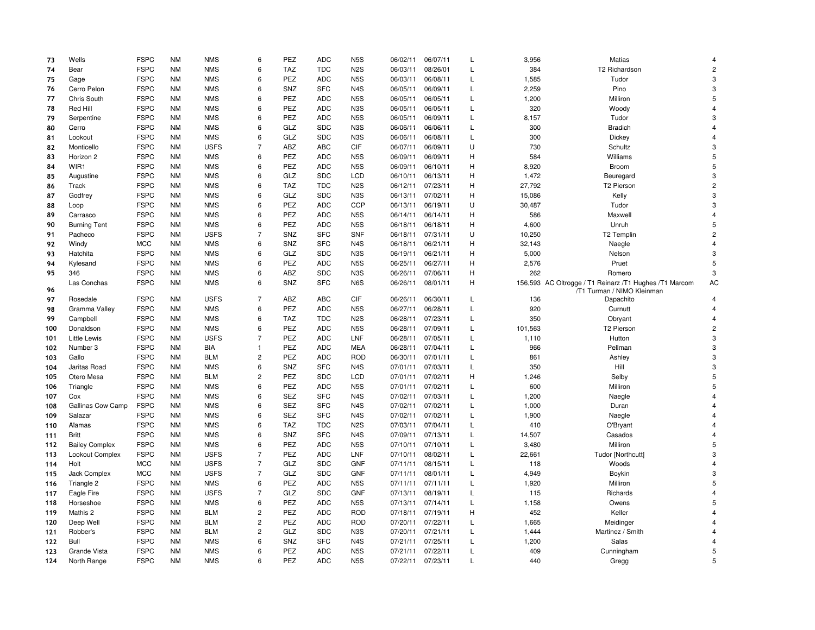| 73  | Wells                 | <b>FSPC</b> | <b>NM</b> | <b>NMS</b>  | 6              | PEZ        | <b>ADC</b> | N <sub>5</sub> S | 06/02/11 | 06/07/11 | L            | 3,956   | <b>Matias</b>                                                                        | $\overline{\mathbf{A}}$ |
|-----|-----------------------|-------------|-----------|-------------|----------------|------------|------------|------------------|----------|----------|--------------|---------|--------------------------------------------------------------------------------------|-------------------------|
| 74  | Bear                  | <b>FSPC</b> | <b>NM</b> | <b>NMS</b>  | 6              | <b>TAZ</b> | <b>TDC</b> | N <sub>2</sub> S | 06/03/11 | 08/26/01 | L            | 384     | T2 Richardson                                                                        | $\overline{c}$          |
| 75  | Gage                  | <b>FSPC</b> | <b>NM</b> | <b>NMS</b>  | 6              | PEZ        | <b>ADC</b> | N <sub>5</sub> S | 06/03/11 | 06/08/11 | L            | 1,585   | Tudor                                                                                | 3                       |
| 76  | Cerro Pelon           | <b>FSPC</b> | <b>NM</b> | <b>NMS</b>  | 6              | SNZ        | <b>SFC</b> | N <sub>4</sub> S | 06/05/11 | 06/09/11 | L            | 2,259   | Pino                                                                                 | 3                       |
| 77  | Chris South           | <b>FSPC</b> | <b>NM</b> | <b>NMS</b>  | 6              | PEZ        | <b>ADC</b> | N <sub>5</sub> S | 06/05/11 | 06/05/11 | $\mathsf{L}$ | 1,200   | Milliron                                                                             | 5                       |
| 78  | Red Hill              | <b>FSPC</b> | <b>NM</b> | <b>NMS</b>  | 6              | PEZ        | <b>ADC</b> | N <sub>3</sub> S | 06/05/11 | 06/05/11 | L            | 320     | Woody                                                                                | 4                       |
| 79  | Serpentine            | <b>FSPC</b> | <b>NM</b> | <b>NMS</b>  | 6              | <b>PEZ</b> | <b>ADC</b> | N <sub>5</sub> S | 06/05/11 | 06/09/11 | L            | 8,157   | Tudor                                                                                | 3                       |
| 80  | Cerro                 | <b>FSPC</b> | <b>NM</b> | <b>NMS</b>  | 6              | GLZ        | <b>SDC</b> | N <sub>3</sub> S | 06/06/11 | 06/06/11 | Г            | 300     | <b>Bradich</b>                                                                       | $\overline{4}$          |
| 81  | Lookout               | <b>FSPC</b> | <b>NM</b> | <b>NMS</b>  | $\,6$          | GLZ        | <b>SDC</b> | N <sub>3</sub> S | 06/06/11 | 06/08/11 | L            | 300     | Dickey                                                                               | $\overline{4}$          |
| 82  | Monticello            | <b>FSPC</b> | <b>NM</b> | <b>USFS</b> | $\overline{7}$ | ABZ        | <b>ABC</b> | CIF              | 06/07/11 | 06/09/11 | U            | 730     | Schultz                                                                              | 3                       |
| 83  | Horizon 2             | <b>FSPC</b> | <b>NM</b> | <b>NMS</b>  | 6              | <b>PEZ</b> | <b>ADC</b> | N <sub>5</sub> S | 06/09/11 | 06/09/11 | H            | 584     | Williams                                                                             | 5                       |
| 84  | WIR1                  | <b>FSPC</b> | <b>NM</b> | <b>NMS</b>  | 6              | PEZ        | <b>ADC</b> | N <sub>5</sub> S | 06/09/11 | 06/10/11 | Η            | 8,920   | Broom                                                                                | 5                       |
| 85  | Augustine             | <b>FSPC</b> | <b>NM</b> | <b>NMS</b>  | 6              | GLZ        | <b>SDC</b> | <b>LCD</b>       | 06/10/11 | 06/13/11 | н            | 1,472   | Beuregard                                                                            | 3                       |
| 86  | Track                 | <b>FSPC</b> | <b>NM</b> | <b>NMS</b>  | $\,6$          | <b>TAZ</b> | <b>TDC</b> | N <sub>2</sub> S | 06/12/11 | 07/23/11 | Η            | 27,792  | T2 Pierson                                                                           | $\overline{c}$          |
| 87  | Godfrey               | <b>FSPC</b> | <b>NM</b> | <b>NMS</b>  | 6              | GLZ        | <b>SDC</b> | N <sub>3</sub> S | 06/13/11 | 07/02/11 | н            | 15,086  | Kelly                                                                                | 3                       |
| 88  | Loop                  | <b>FSPC</b> | <b>NM</b> | <b>NMS</b>  | 6              | PEZ        | <b>ADC</b> | <b>CCP</b>       | 06/13/11 | 06/19/11 | U            | 30,487  | Tudor                                                                                | 3                       |
| 89  | Carrasco              | <b>FSPC</b> | <b>NM</b> | <b>NMS</b>  | 6              | PEZ        | <b>ADC</b> | N <sub>5</sub> S | 06/14/11 | 06/14/11 | H            | 586     | Maxwell                                                                              | $\overline{4}$          |
| 90  | <b>Burning Tent</b>   | <b>FSPC</b> | <b>NM</b> | <b>NMS</b>  | 6              | PEZ        | <b>ADC</b> | N <sub>5</sub> S | 06/18/11 | 06/18/11 | Η            | 4,600   | Unruh                                                                                | 5                       |
| 91  | Pacheco               | <b>FSPC</b> | <b>NM</b> | <b>USFS</b> | $\overline{7}$ | SNZ        | <b>SFC</b> | <b>SNF</b>       | 06/18/11 | 07/31/11 | U            | 10,250  | T2 Templin                                                                           | $\overline{c}$          |
| 92  | Windy                 | <b>MCC</b>  | <b>NM</b> | <b>NMS</b>  | 6              | SNZ        | <b>SFC</b> | N <sub>4</sub> S | 06/18/11 | 06/21/11 | Η            | 32,143  | Naegle                                                                               | $\overline{4}$          |
| 93  | Hatchita              | <b>FSPC</b> | <b>NM</b> | <b>NMS</b>  | 6              | GLZ        | <b>SDC</b> | N <sub>3</sub> S | 06/19/11 | 06/21/11 | н            | 5,000   | Nelson                                                                               | 3                       |
| 94  | Kylesand              | <b>FSPC</b> | <b>NM</b> | <b>NMS</b>  | $\,6$          | PEZ        | <b>ADC</b> | N <sub>5</sub> S | 06/25/11 | 06/27/11 | Η            | 2,576   | Pruet                                                                                | 5                       |
| 95  | 346                   | <b>FSPC</b> | <b>NM</b> | <b>NMS</b>  | 6              | ABZ        | <b>SDC</b> | N <sub>3</sub> S | 06/26/11 | 07/06/11 | н            | 262     | Romero                                                                               | 3                       |
| 96  | Las Conchas           | <b>FSPC</b> | <b>NM</b> | <b>NMS</b>  | 6              | SNZ        | <b>SFC</b> | N6S              | 06/26/11 | 08/01/11 | Η            |         | 156,593 AC Oltrogge / T1 Reinarz /T1 Hughes /T1 Marcom<br>/T1 Turman / NIMO Kleinman | AC                      |
| 97  | Rosedale              | <b>FSPC</b> | <b>NM</b> | <b>USFS</b> | $\overline{7}$ | ABZ        | <b>ABC</b> | CIF              | 06/26/11 | 06/30/11 | L            | 136     | Dapachito                                                                            | $\overline{4}$          |
| 98  | Gramma Valley         | <b>FSPC</b> | <b>NM</b> | <b>NMS</b>  | 6              | PEZ        | <b>ADC</b> | N <sub>5</sub> S | 06/27/11 | 06/28/11 | L            | 920     | Curnutt                                                                              | $\overline{4}$          |
| 99  | Campbell              | <b>FSPC</b> | <b>NM</b> | <b>NMS</b>  | 6              | <b>TAZ</b> | <b>TDC</b> | N <sub>2</sub> S | 06/28/11 | 07/23/11 | L            | 350     | Obryant                                                                              | $\overline{4}$          |
| 100 | Donaldson             | <b>FSPC</b> | <b>NM</b> | <b>NMS</b>  | 6              | <b>PEZ</b> | <b>ADC</b> | N <sub>5</sub> S | 06/28/11 | 07/09/11 | L            | 101,563 | T2 Pierson                                                                           | $\overline{2}$          |
| 101 | <b>Little Lewis</b>   | <b>FSPC</b> | <b>NM</b> | <b>USFS</b> | $\overline{7}$ | PEZ        | <b>ADC</b> | LNF              | 06/28/11 | 07/05/11 | L            | 1,110   | Hutton                                                                               | 3                       |
| 102 | Number 3              | <b>FSPC</b> | <b>NM</b> | BIA         | $\mathbf{1}$   | <b>PEZ</b> | <b>ADC</b> | MEA              | 06/28/11 | 07/04/11 | L            | 966     | Pellman                                                                              | 3                       |
| 103 | Gallo                 | <b>FSPC</b> | <b>NM</b> | <b>BLM</b>  | $\overline{c}$ | PEZ        | <b>ADC</b> | <b>ROD</b>       | 06/30/11 | 07/01/11 | L            | 861     | Ashley                                                                               | 3                       |
| 104 | Jaritas Road          | <b>FSPC</b> | <b>NM</b> | <b>NMS</b>  | 6              | SNZ        | <b>SFC</b> | N <sub>4</sub> S | 07/01/11 | 07/03/11 | L            | 350     | Hill                                                                                 | 3                       |
| 105 | Otero Mesa            | <b>FSPC</b> | <b>NM</b> | <b>BLM</b>  | $\sqrt{2}$     | <b>PEZ</b> | <b>SDC</b> | <b>LCD</b>       | 07/01/11 | 07/02/11 | Н            | 1,246   | Selby                                                                                | 5                       |
| 106 | Triangle              | <b>FSPC</b> | NM        | <b>NMS</b>  | 6              | PEZ        | ADC        | N5S              | 07/01/11 | 07/02/11 | L            | 600     | Milliron                                                                             | 5                       |
| 107 | Cox                   | <b>FSPC</b> | <b>NM</b> | <b>NMS</b>  | 6              | <b>SEZ</b> | <b>SFC</b> | N <sub>4</sub> S | 07/02/11 | 07/03/11 | L            | 1,200   | Naegle                                                                               | $\overline{\mathbf{A}}$ |
| 108 | Gallinas Cow Camp     | <b>FSPC</b> | <b>NM</b> | <b>NMS</b>  | 6              | <b>SEZ</b> | <b>SFC</b> | N <sub>4</sub> S | 07/02/11 | 07/02/11 | L            | 1,000   | Duran                                                                                | $\overline{4}$          |
| 109 | Salazar               | <b>FSPC</b> | <b>NM</b> | <b>NMS</b>  | $\,6$          | <b>SEZ</b> | <b>SFC</b> | N <sub>4</sub> S | 07/02/11 | 07/02/11 | L            | 1,900   | Naegle                                                                               | $\overline{4}$          |
| 110 | Alamas                | <b>FSPC</b> | <b>NM</b> | <b>NMS</b>  | 6              | <b>TAZ</b> | <b>TDC</b> | N <sub>2</sub> S | 07/03/11 | 07/04/11 | L            | 410     | O'Bryant                                                                             | $\overline{4}$          |
| 111 | <b>Britt</b>          | <b>FSPC</b> | <b>NM</b> | <b>NMS</b>  | 6              | SNZ        | <b>SFC</b> | N <sub>4</sub> S | 07/09/11 | 07/13/11 | L            | 14,507  | Casados                                                                              | $\overline{4}$          |
| 112 | <b>Bailey Complex</b> | <b>FSPC</b> | <b>NM</b> | <b>NMS</b>  | 6              | PEZ        | <b>ADC</b> | N <sub>5</sub> S | 07/10/11 | 07/10/11 | Г            | 3,480   | Milliron                                                                             | 5                       |
| 113 | Lookout Complex       | <b>FSPC</b> | <b>NM</b> | <b>USFS</b> | $\overline{7}$ | <b>PEZ</b> | <b>ADC</b> | LNF              | 07/10/11 | 08/02/11 | L            | 22,661  | Tudor [Northcutt]                                                                    | 3                       |
| 114 | Holt                  | MCC         | <b>NM</b> | <b>USFS</b> | $\overline{7}$ | GLZ        | <b>SDC</b> | <b>GNF</b>       | 07/11/11 | 08/15/11 | Г            | 118     | Woods                                                                                | $\overline{4}$          |
| 115 | Jack Complex          | <b>MCC</b>  | <b>NM</b> | <b>USFS</b> | $\overline{7}$ | GLZ        | <b>SDC</b> | <b>GNF</b>       | 07/11/11 | 08/01/11 | L            | 4,949   | Boykin                                                                               | 3                       |
| 116 | Triangle 2            | <b>FSPC</b> | <b>NM</b> | <b>NMS</b>  | $\,6$          | PEZ        | <b>ADC</b> | N <sub>5</sub> S | 07/11/11 | 07/11/11 | L            | 1,920   | Milliron                                                                             | 5                       |
| 117 | Eagle Fire            | <b>FSPC</b> | <b>NM</b> | <b>USFS</b> | $\overline{7}$ | GLZ        | <b>SDC</b> | <b>GNF</b>       | 07/13/11 | 08/19/11 | L            | 115     | Richards                                                                             | $\overline{4}$          |
| 118 | Horseshoe             | <b>FSPC</b> | <b>NM</b> | <b>NMS</b>  | $\,6$          | PEZ        | <b>ADC</b> | N <sub>5</sub> S | 07/13/11 | 07/14/11 | L            | 1,158   | Owens                                                                                | 5                       |
| 119 | Mathis 2              | <b>FSPC</b> | <b>NM</b> | <b>BLM</b>  | $\overline{2}$ | <b>PEZ</b> | <b>ADC</b> | <b>ROD</b>       | 07/18/11 | 07/19/11 | н            | 452     | Keller                                                                               | $\overline{4}$          |
| 120 | Deep Well             | <b>FSPC</b> | <b>NM</b> | <b>BLM</b>  | $\sqrt{2}$     | PEZ        | <b>ADC</b> | <b>ROD</b>       | 07/20/11 | 07/22/11 | Г            | 1,665   | Meidinger                                                                            | $\overline{4}$          |
| 121 | Robber's              | <b>FSPC</b> | <b>NM</b> | <b>BLM</b>  | $\overline{c}$ | GLZ        | <b>SDC</b> | N3S              | 07/20/11 | 07/21/11 | Г            | 1,444   | Martinez / Smith                                                                     | 4                       |
| 122 | Bull                  | <b>FSPC</b> | <b>NM</b> | <b>NMS</b>  | $\,6$          | SNZ        | <b>SFC</b> | N <sub>4</sub> S | 07/21/11 | 07/25/11 | L            | 1,200   | Salas                                                                                | $\overline{4}$          |
| 123 | Grande Vista          | <b>FSPC</b> | <b>NM</b> | <b>NMS</b>  | 6              | PEZ        | <b>ADC</b> | N <sub>5</sub> S | 07/21/11 | 07/22/11 | L            | 409     | Cunningham                                                                           | 5                       |
| 124 | North Range           | <b>FSPC</b> | <b>NM</b> | <b>NMS</b>  | 6              | PEZ        | <b>ADC</b> | N <sub>5</sub> S | 07/22/11 | 07/23/11 | $\mathbf{I}$ | 440     | Gregg                                                                                | 5                       |
|     |                       |             |           |             |                |            |            |                  |          |          |              |         |                                                                                      |                         |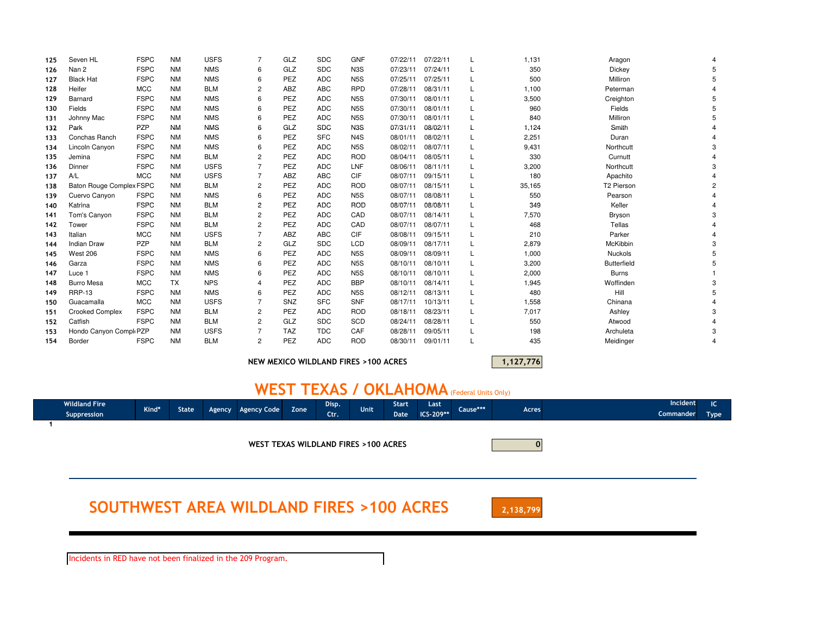| 125 | Seven HL                            | <b>FSPC</b> | <b>NM</b> | <b>USFS</b> |                | GLZ        | <b>SDC</b> | <b>GNF</b>       | 07/22/11 | 07/22/11 | 1,131  | Aragon                 |  |
|-----|-------------------------------------|-------------|-----------|-------------|----------------|------------|------------|------------------|----------|----------|--------|------------------------|--|
| 126 | Nan 2                               | <b>FSPC</b> | <b>NM</b> | <b>NMS</b>  | 6              | GLZ        | <b>SDC</b> | N <sub>3</sub> S | 07/23/11 | 07/24/11 | 350    | Dickey                 |  |
| 127 | <b>Black Hat</b>                    | <b>FSPC</b> | <b>NM</b> | <b>NMS</b>  | 6              | PEZ        | <b>ADC</b> | N <sub>5</sub> S | 07/25/11 | 07/25/11 | 500    | Milliron               |  |
| 128 | Heifer                              | <b>MCC</b>  | <b>NM</b> | <b>BLM</b>  | $\overline{2}$ | ABZ        | <b>ABC</b> | <b>RPD</b>       | 07/28/11 | 08/31/11 | 1,100  | Peterman               |  |
| 129 | Barnard                             | <b>FSPC</b> | <b>NM</b> | <b>NMS</b>  | 6              | PEZ        | <b>ADC</b> | N <sub>5</sub> S | 07/30/11 | 08/01/11 | 3,500  | Creighton              |  |
| 130 | Fields                              | <b>FSPC</b> | <b>NM</b> | <b>NMS</b>  | 6              | PEZ        | <b>ADC</b> | N <sub>5</sub> S | 07/30/11 | 08/01/11 | 960    | Fields                 |  |
| 131 | Johnny Mac                          | <b>FSPC</b> | <b>NM</b> | <b>NMS</b>  | 6              | PEZ        | <b>ADC</b> | N <sub>5</sub> S | 07/30/11 | 08/01/11 | 840    | Milliron               |  |
| 132 | Park                                | PZP         | <b>NM</b> | <b>NMS</b>  | 6              | GLZ        | <b>SDC</b> | N <sub>3</sub> S | 07/31/11 | 08/02/11 | 1,124  | Smith                  |  |
| 133 | Conchas Ranch                       | <b>FSPC</b> | <b>NM</b> | <b>NMS</b>  | 6              | PEZ        | <b>SFC</b> | N <sub>4</sub> S | 08/01/11 | 08/02/11 | 2,251  | Duran                  |  |
| 134 | Lincoln Canyon                      | <b>FSPC</b> | <b>NM</b> | <b>NMS</b>  | 6              | PEZ        | <b>ADC</b> | N <sub>5</sub> S | 08/02/11 | 08/07/11 | 9,431  | Northcutt              |  |
| 135 | Jemina                              | <b>FSPC</b> | <b>NM</b> | <b>BLM</b>  | $\overline{2}$ | PEZ        | <b>ADC</b> | <b>ROD</b>       | 08/04/11 | 08/05/11 | 330    | Curnutt                |  |
| 136 | Dinner                              | <b>FSPC</b> | <b>NM</b> | <b>USFS</b> |                | PEZ        | <b>ADC</b> | LNF              | 08/06/11 | 08/11/11 | 3,200  | Northcutt              |  |
| 137 | A/L                                 | <b>MCC</b>  | <b>NM</b> | <b>USFS</b> |                | ABZ        | <b>ABC</b> | CIF              | 08/07/11 | 09/15/11 | 180    | Apachito               |  |
| 138 | <b>Baton Rouge Complex FSPC</b>     |             | <b>NM</b> | <b>BLM</b>  | $\overline{2}$ | PEZ        | <b>ADC</b> | <b>ROD</b>       | 08/07/11 | 08/15/11 | 35,165 | T <sub>2</sub> Pierson |  |
| 139 | Cuervo Canyon                       | <b>FSPC</b> | <b>NM</b> | <b>NMS</b>  | 6              | PEZ        | <b>ADC</b> | N <sub>5</sub> S | 08/07/11 | 08/08/11 | 550    | Pearson                |  |
| 140 | Katrina                             | <b>FSPC</b> | <b>NM</b> | <b>BLM</b>  | $\overline{c}$ | PEZ        | <b>ADC</b> | <b>ROD</b>       | 08/07/11 | 08/08/11 | 349    | Keller                 |  |
| 141 | Tom's Canyon                        | <b>FSPC</b> | <b>NM</b> | <b>BLM</b>  | 2              | PEZ        | <b>ADC</b> | CAD              | 08/07/11 | 08/14/11 | 7,570  | Bryson                 |  |
| 142 | Tower                               | <b>FSPC</b> | <b>NM</b> | <b>BLM</b>  | $\overline{2}$ | PEZ        | <b>ADC</b> | CAD              | 08/07/11 | 08/07/11 | 468    | Tellas                 |  |
| 143 | Italian                             | <b>MCC</b>  | <b>NM</b> | <b>USFS</b> |                | ABZ        | <b>ABC</b> | CIF              | 08/08/11 | 09/15/11 | 210    | Parker                 |  |
| 144 | <b>Indian Draw</b>                  | PZP         | <b>NM</b> | <b>BLM</b>  | $\overline{2}$ | GLZ        | <b>SDC</b> | <b>LCD</b>       | 08/09/11 | 08/17/11 | 2,879  | McKibbin               |  |
| 145 | <b>West 206</b>                     | <b>FSPC</b> | <b>NM</b> | <b>NMS</b>  | 6              | PEZ        | <b>ADC</b> | N <sub>5</sub> S | 08/09/11 | 08/09/11 | 1,000  | Nuckols                |  |
| 146 | Garza                               | <b>FSPC</b> | <b>NM</b> | <b>NMS</b>  | 6              | PEZ        | <b>ADC</b> | N <sub>5</sub> S | 08/10/11 | 08/10/11 | 3,200  | <b>Butterfield</b>     |  |
| 147 | Luce 1                              | <b>FSPC</b> | <b>NM</b> | <b>NMS</b>  | 6              | PEZ        | <b>ADC</b> | N <sub>5</sub> S | 08/10/11 | 08/10/11 | 2,000  | <b>Burns</b>           |  |
| 148 | <b>Burro Mesa</b>                   | <b>MCC</b>  | <b>TX</b> | <b>NPS</b>  | 4              | PEZ        | <b>ADC</b> | <b>BBP</b>       | 08/10/11 | 08/14/11 | 1,945  | Woffinden              |  |
| 149 | <b>RRP-13</b>                       | <b>FSPC</b> | <b>NM</b> | <b>NMS</b>  | 6              | PEZ        | <b>ADC</b> | N <sub>5</sub> S | 08/12/11 | 08/13/11 | 480    | Hill                   |  |
| 150 | Guacamalla                          | <b>MCC</b>  | <b>NM</b> | <b>USFS</b> |                | SNZ        | <b>SFC</b> | <b>SNF</b>       | 08/17/11 | 10/13/11 | 1,558  | Chinana                |  |
| 151 | <b>Crooked Complex</b>              | <b>FSPC</b> | <b>NM</b> | <b>BLM</b>  | 2              | PEZ        | <b>ADC</b> | <b>ROD</b>       | 08/18/11 | 08/23/11 | 7,017  | Ashley                 |  |
| 152 | Catfish                             | <b>FSPC</b> | <b>NM</b> | <b>BLM</b>  | $\overline{2}$ | GLZ        | <b>SDC</b> | SCD              | 08/24/11 | 08/28/11 | 550    | Atwood                 |  |
| 153 | Hondo Canyon Compl <sub>'</sub> PZP |             | <b>NM</b> | <b>USFS</b> |                | <b>TAZ</b> | <b>TDC</b> | CAF              | 08/28/11 | 09/05/11 | 198    | Archuleta              |  |
| 154 | Border                              | <b>FSPC</b> | <b>NM</b> | <b>BLM</b>  | $\overline{c}$ | PEZ        | <b>ADC</b> | <b>ROD</b>       | 08/30/11 | 09/01/11 | 435    | Meidinger              |  |
|     |                                     |             |           |             |                |            |            |                  |          |          |        |                        |  |

NEW MEXICO WILDLAND FIRES >100 ACRES

1,127,776

## WEST TEXAS / OKLAHOMA (Federal Units Only)

|                                                    | <b>Wildland Fire</b><br>Suppression  | Kind* | State |  | Agency Agency Code | Zone | Disp.<br>Ctr. | Unit      | <b>Start</b><br>Date | Last<br>ICS-209** | Cause*** | Acres | Incident<br><b>Commander</b> | IC.<br><b>Type</b> |
|----------------------------------------------------|--------------------------------------|-------|-------|--|--------------------|------|---------------|-----------|----------------------|-------------------|----------|-------|------------------------------|--------------------|
|                                                    | WEST TEXAS WILDLAND FIRES >100 ACRES |       |       |  |                    |      |               |           |                      |                   |          |       |                              |                    |
| <b>SOUTHWEST AREA WILDLAND FIRES &gt;100 ACRES</b> |                                      |       |       |  |                    |      |               | 2,138,799 |                      |                   |          |       |                              |                    |

Incidents in RED have not been finalized in the 209 Program.